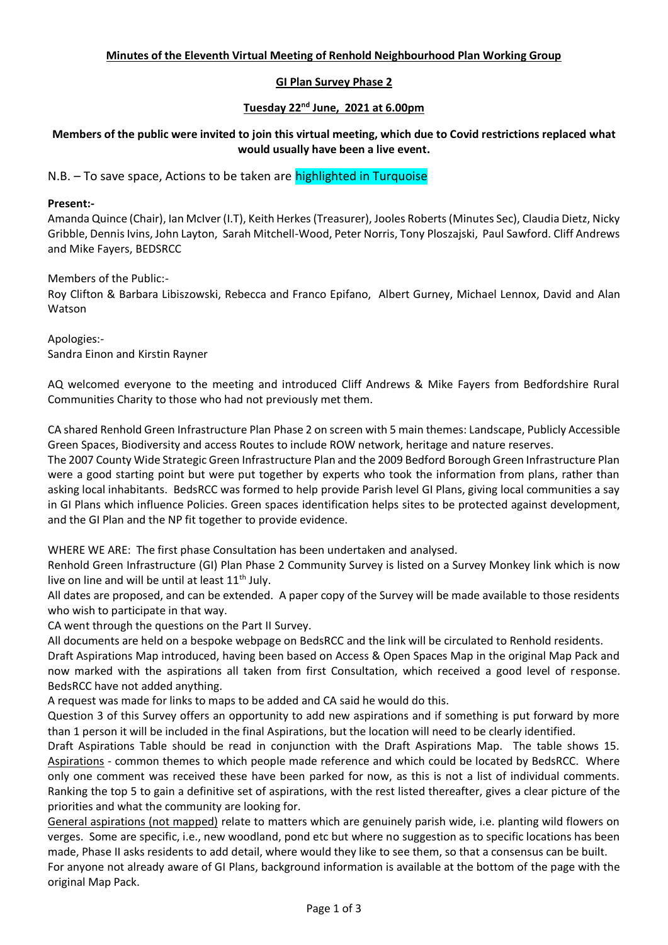# **Minutes of the Eleventh Virtual Meeting of Renhold Neighbourhood Plan Working Group**

# **GI Plan Survey Phase 2**

## **Tuesday 22nd June, 2021 at 6.00pm**

**Members of the public were invited to join this virtual meeting, which due to Covid restrictions replaced what would usually have been a live event.**

N.B. – To save space, Actions to be taken are **highlighted in Turquoise** 

### **Present:-**

Amanda Quince (Chair), Ian McIver (I.T), Keith Herkes (Treasurer), Jooles Roberts (Minutes Sec), Claudia Dietz, Nicky Gribble, Dennis Ivins, John Layton, Sarah Mitchell-Wood, Peter Norris, Tony Ploszajski, Paul Sawford. Cliff Andrews and Mike Fayers, BEDSRCC

Members of the Public:-

Roy Clifton & Barbara Libiszowski, Rebecca and Franco Epifano, Albert Gurney, Michael Lennox, David and Alan Watson

Apologies:- Sandra Einon and Kirstin Rayner

AQ welcomed everyone to the meeting and introduced Cliff Andrews & Mike Fayers from Bedfordshire Rural Communities Charity to those who had not previously met them.

CA shared Renhold Green Infrastructure Plan Phase 2 on screen with 5 main themes: Landscape, Publicly Accessible Green Spaces, Biodiversity and access Routes to include ROW network, heritage and nature reserves.

The 2007 County Wide Strategic Green Infrastructure Plan and the 2009 Bedford Borough Green Infrastructure Plan were a good starting point but were put together by experts who took the information from plans, rather than asking local inhabitants. BedsRCC was formed to help provide Parish level GI Plans, giving local communities a say in GI Plans which influence Policies. Green spaces identification helps sites to be protected against development, and the GI Plan and the NP fit together to provide evidence.

WHERE WE ARE: The first phase Consultation has been undertaken and analysed.

Renhold Green Infrastructure (GI) Plan Phase 2 Community Survey is listed on a Survey Monkey link which is now live on line and will be until at least  $11<sup>th</sup>$  July.

All dates are proposed, and can be extended. A paper copy of the Survey will be made available to those residents who wish to participate in that way.

CA went through the questions on the Part II Survey.

All documents are held on a bespoke webpage on BedsRCC and the link will be circulated to Renhold residents.

Draft Aspirations Map introduced, having been based on Access & Open Spaces Map in the original Map Pack and now marked with the aspirations all taken from first Consultation, which received a good level of response. BedsRCC have not added anything.

A request was made for links to maps to be added and CA said he would do this.

Question 3 of this Survey offers an opportunity to add new aspirations and if something is put forward by more than 1 person it will be included in the final Aspirations, but the location will need to be clearly identified.

Draft Aspirations Table should be read in conjunction with the Draft Aspirations Map. The table shows 15. Aspirations - common themes to which people made reference and which could be located by BedsRCC. Where only one comment was received these have been parked for now, as this is not a list of individual comments. Ranking the top 5 to gain a definitive set of aspirations, with the rest listed thereafter, gives a clear picture of the priorities and what the community are looking for.

General aspirations (not mapped) relate to matters which are genuinely parish wide, i.e. planting wild flowers on verges. Some are specific, i.e., new woodland, pond etc but where no suggestion as to specific locations has been made, Phase II asks residents to add detail, where would they like to see them, so that a consensus can be built. For anyone not already aware of GI Plans, background information is available at the bottom of the page with the original Map Pack.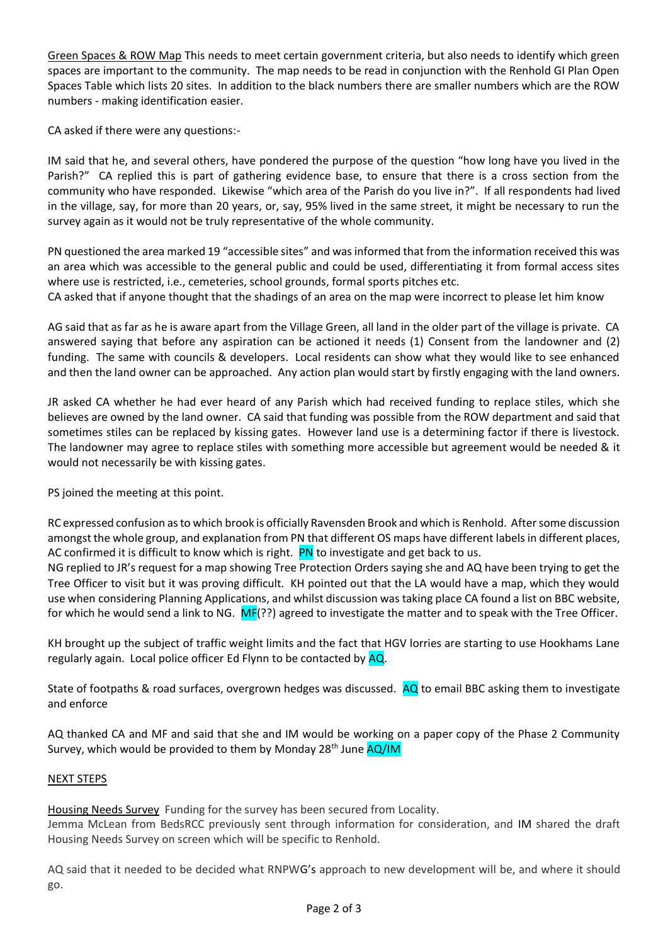Green Spaces & ROW Map This needs to meet certain government criteria, but also needs to identify which green spaces are important to the community. The map needs to be read in conjunction with the Renhold GI Plan Open Spaces Table which lists 20 sites. In addition to the black numbers there are smaller numbers which are the ROW numbers - making identification easier.

CA asked if there were any questions:-

IM said that he, and several others, have pondered the purpose of the question "how long have you lived in the Parish?" CA replied this is part of gathering evidence base, to ensure that there is a cross section from the community who have responded. Likewise "which area of the Parish do you live in?". If all respondents had lived in the village, say, for more than 20 years, or, say, 95% lived in the same street, it might be necessary to run the survey again as it would not be truly representative of the whole community.

PN questioned the area marked 19 "accessible sites" and was informed that from the information received this was an area which was accessible to the general public and could be used, differentiating it from formal access sites where use is restricted, i.e., cemeteries, school grounds, formal sports pitches etc.

CA asked that if anyone thought that the shadings of an area on the map were incorrect to please let him know

AG said that as far as he is aware apart from the Village Green, all land in the older part of the village is private. CA answered saying that before any aspiration can be actioned it needs (1) Consent from the landowner and (2) funding. The same with councils & developers. Local residents can show what they would like to see enhanced and then the land owner can be approached. Any action plan would start by firstly engaging with the land owners.

JR asked CA whether he had ever heard of any Parish which had received funding to replace stiles, which she believes are owned by the land owner. CA said that funding was possible from the ROW department and said that sometimes stiles can be replaced by kissing gates. However land use is a determining factor if there is livestock. The landowner may agree to replace stiles with something more accessible but agreement would be needed & it would not necessarily be with kissing gates.

PS joined the meeting at this point.

RC expressed confusion as to which brook is officially Ravensden Brook and which is Renhold. After some discussion amongst the whole group, and explanation from PN that different OS maps have different labels in different places, AC confirmed it is difficult to know which is right. PN to investigate and get back to us.

NG replied to JR's request for a map showing Tree Protection Orders saying she and AQ have been trying to get the Tree Officer to visit but it was proving difficult. KH pointed out that the LA would have a map, which they would use when considering Planning Applications, and whilst discussion was taking place CA found a list on BBC website, for which he would send a link to NG.  $MF(?)$  agreed to investigate the matter and to speak with the Tree Officer.

KH brought up the subject of traffic weight limits and the fact that HGV lorries are starting to use Hookhams Lane regularly again. Local police officer Ed Flynn to be contacted by AQ.

State of footpaths & road surfaces, overgrown hedges was discussed. AQ to email BBC asking them to investigate and enforce

AQ thanked CA and MF and said that she and IM would be working on a paper copy of the Phase 2 Community Survey, which would be provided to them by Monday 28<sup>th</sup> June AQ/IM

## NEXT STEPS

Housing Needs Survey Funding for the survey has been secured from Locality. Jemma McLean from BedsRCC previously sent through information for consideration, and IM shared the draft Housing Needs Survey on screen which will be specific to Renhold.

AQ said that it needed to be decided what RNPWG's approach to new development will be, and where it should go.